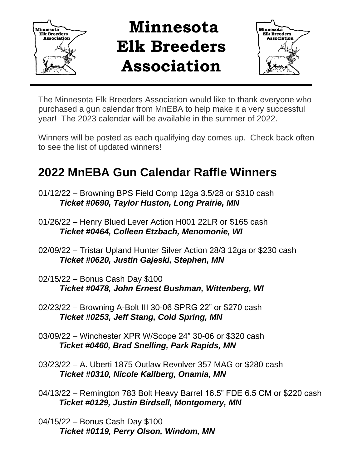

## **Minnesota Elk Breeders Association**



The Minnesota Elk Breeders Association would like to thank everyone who purchased a gun calendar from MnEBA to help make it a very successful year! The 2023 calendar will be available in the summer of 2022.

Winners will be posted as each qualifying day comes up. Check back often to see the list of updated winners!

## **2022 MnEBA Gun Calendar Raffle Winners**

- 01/12/22 Browning BPS Field Comp 12ga 3.5/28 or \$310 cash *Ticket #0690, Taylor Huston, Long Prairie, MN*
- 01/26/22 Henry Blued Lever Action H001 22LR or \$165 cash *Ticket #0464, Colleen Etzbach, Menomonie, WI*
- 02/09/22 Tristar Upland Hunter Silver Action 28/3 12ga or \$230 cash *Ticket #0620, Justin Gajeski, Stephen, MN*
- 02/15/22 Bonus Cash Day \$100 *Ticket #0478, John Ernest Bushman, Wittenberg, WI*
- 02/23/22 Browning A-Bolt III 30-06 SPRG 22" or \$270 cash *Ticket #0253, Jeff Stang, Cold Spring, MN*
- 03/09/22 Winchester XPR W/Scope 24" 30-06 or \$320 cash *Ticket #0460, Brad Snelling, Park Rapids, MN*
- 03/23/22 A. Uberti 1875 Outlaw Revolver 357 MAG or \$280 cash *Ticket #0310, Nicole Kallberg, Onamia, MN*
- 04/13/22 Remington 783 Bolt Heavy Barrel 16.5" FDE 6.5 CM or \$220 cash *Ticket #0129, Justin Birdsell, Montgomery, MN*
- 04/15/22 Bonus Cash Day \$100 *Ticket #0119, Perry Olson, Windom, MN*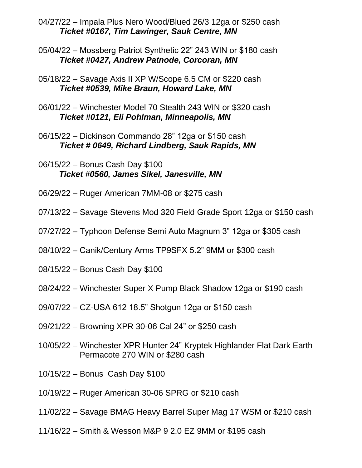- 04/27/22 Impala Plus Nero Wood/Blued 26/3 12ga or \$250 cash *Ticket #0167, Tim Lawinger, Sauk Centre, MN*
- 05/04/22 Mossberg Patriot Synthetic 22" 243 WIN or \$180 cash *Ticket #0427, Andrew Patnode, Corcoran, MN*
- 05/18/22 Savage Axis II XP W/Scope 6.5 CM or \$220 cash *Ticket #0539, Mike Braun, Howard Lake, MN*
- 06/01/22 Winchester Model 70 Stealth 243 WIN or \$320 cash *Ticket #0121, Eli Pohlman, Minneapolis, MN*
- 06/15/22 Dickinson Commando 28" 12ga or \$150 cash  *Ticket # 0649, Richard Lindberg, Sauk Rapids, MN*
- 06/15/22 Bonus Cash Day \$100 *Ticket #0560, James Sikel, Janesville, MN*
- 06/29/22 Ruger American 7MM-08 or \$275 cash
- 07/13/22 Savage Stevens Mod 320 Field Grade Sport 12ga or \$150 cash
- 07/27/22 Typhoon Defense Semi Auto Magnum 3" 12ga or \$305 cash
- 08/10/22 Canik/Century Arms TP9SFX 5.2" 9MM or \$300 cash
- 08/15/22 Bonus Cash Day \$100
- 08/24/22 Winchester Super X Pump Black Shadow 12ga or \$190 cash
- 09/07/22 CZ-USA 612 18.5" Shotgun 12ga or \$150 cash
- 09/21/22 Browning XPR 30-06 Cal 24" or \$250 cash
- 10/05/22 Winchester XPR Hunter 24" Kryptek Highlander Flat Dark Earth Permacote 270 WIN or \$280 cash
- 10/15/22 Bonus Cash Day \$100
- 10/19/22 Ruger American 30-06 SPRG or \$210 cash
- 11/02/22 Savage BMAG Heavy Barrel Super Mag 17 WSM or \$210 cash
- 11/16/22 Smith & Wesson M&P 9 2.0 EZ 9MM or \$195 cash